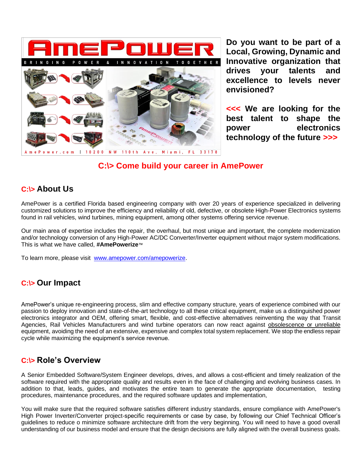

**Do you want to be part of a Local, Growing, Dynamic and Innovative organization that drives your talents and excellence to levels never envisioned?**

**<<< We are looking for the best talent to shape the power electronics technology of the future >>>**

### **C:\> Come build your career in AmePower**

### **C:\> About Us**

AmePower is a certified Florida based engineering company with over 20 years of experience specialized in delivering customized solutions to improve the efficiency and reliability of old, defective, or obsolete High-Power Electronics systems found in rail vehicles, wind turbines, mining equipment, among other systems offering service revenue.

Our main area of expertise includes the repair, the overhaul, but most unique and important, the complete modernization and/or technology conversion of any High-Power AC/DC Converter/Inverter equipment without major system modifications. This is what we have called, **#AmePowerize**™

To learn more, please visit [www.amepower.com/amepowerize.](http://www.amepower.com/amepowerize)

## **C:\> Our Impact**

AmePower's unique re-engineering process, slim and effective company structure, years of experience combined with our passion to deploy innovation and state-of-the-art technology to all these critical equipment, make us a distinguished power electronics integrator and OEM, offering smart, flexible, and cost-effective alternatives reinventing the way that Transit Agencies, Rail Vehicles Manufacturers and wind turbine operators can now react against obsolescence or unreliable equipment, avoiding the need of an extensive, expensive and complex total system replacement. We stop the endless repair cycle while maximizing the equipment's service revenue.

## **C:\> Role's Overview**

A Senior Embedded Software/System Engineer develops, drives, and allows a cost-efficient and timely realization of the software required with the appropriate quality and results even in the face of challenging and evolving business cases. In addition to that, leads, guides, and motivates the entire team to generate the appropriate documentation, testing procedures, maintenance procedures, and the required software updates and implementation,

You will make sure that the required software satisfies different industry standards, ensure compliance with AmePower's High Power Inverter/Converter project-specific requirements or case by case, by following our Chief Technical Officer's guidelines to reduce o minimize software architecture drift from the very beginning. You will need to have a good overall understanding of our business model and ensure that the design decisions are fully aligned with the overall business goals.